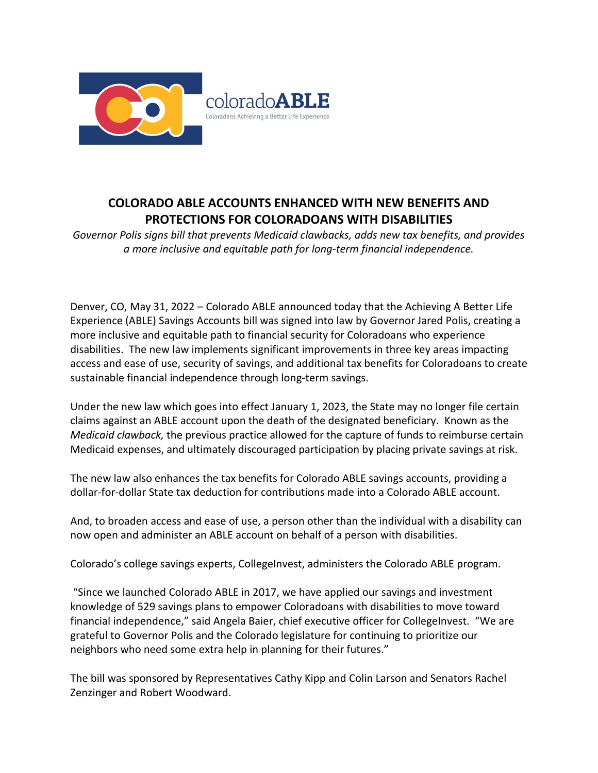

## **COLORADO ABLE ACCOUNTS ENHANCED WITH NEW BENEFITS AND PROTECTIONS FOR COLORADOANS WITH DISABILITIES**

*Governor Polis signs bill that prevents Medicaid clawbacks, adds new tax benefits, and provides a more inclusive and equitable path for long-term financial independence.* 

Denver, CO, May 31, 2022 – Colorado ABLE announced today that the Achieving A Better Life Experience (ABLE) Savings Accounts bill was signed into law by Governor Jared Polis, creating a more inclusive and equitable path to financial security for Coloradoans who experience disabilities. The new law implements significant improvements in three key areas impacting access and ease of use, security of savings, and additional tax benefits for Coloradoans to create sustainable financial independence through long-term savings.

Under the new law which goes into effect January 1, 2023, the State may no longer file certain claims against an ABLE account upon the death of the designated beneficiary. Known as the *Medicaid clawback,* the previous practice allowed for the capture of funds to reimburse certain Medicaid expenses, and ultimately discouraged participation by placing private savings at risk.

The new law also enhances the tax benefits for Colorado ABLE savings accounts, providing a dollar-for-dollar State tax deduction for contributions made into a Colorado ABLE account.

And, to broaden access and ease of use, a person other than the individual with a disability can now open and administer an ABLE account on behalf of a person with disabilities.

Colorado's college savings experts, CollegeInvest, administers the Colorado ABLE program.

"Since we launched Colorado ABLE in 2017, we have applied our savings and investment knowledge of 529 savings plans to empower Coloradoans with disabilities to move toward financial independence," said Angela Baier, chief executive officer for CollegeInvest. "We are grateful to Governor Polis and the Colorado legislature for continuing to prioritize our neighbors who need some extra help in planning for their futures."

The bill was sponsored by Representatives Cathy Kipp and Colin Larson and Senators Rachel Zenzinger and Robert Woodward.